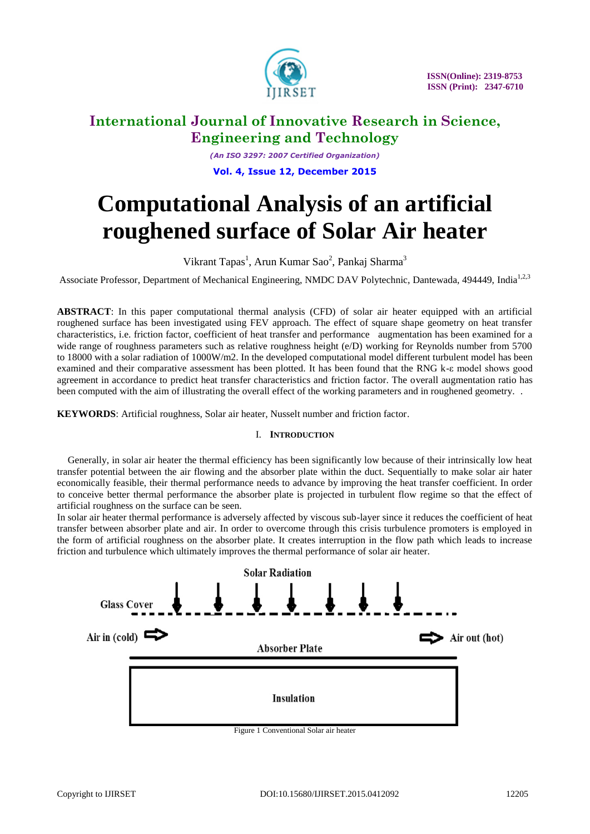

*(An ISO 3297: 2007 Certified Organization)* **Vol. 4, Issue 12, December 2015**

# **Computational Analysis of an artificial roughened surface of Solar Air heater**

Vikrant Tapas<sup>1</sup>, Arun Kumar Sao<sup>2</sup>, Pankaj Sharma<sup>3</sup>

Associate Professor, Department of Mechanical Engineering, NMDC DAV Polytechnic, Dantewada, 494449, India<sup>1,2,3</sup>

**ABSTRACT**: In this paper computational thermal analysis (CFD) of solar air heater equipped with an artificial roughened surface has been investigated using FEV approach. The effect of square shape geometry on heat transfer characteristics, i.e. friction factor, coefficient of heat transfer and performance augmentation has been examined for a wide range of roughness parameters such as relative roughness height (e/D) working for Reynolds number from 5700 to 18000 with a solar radiation of 1000W/m2. In the developed computational model different turbulent model has been examined and their comparative assessment has been plotted. It has been found that the RNG k-ε model shows good agreement in accordance to predict heat transfer characteristics and friction factor. The overall augmentation ratio has been computed with the aim of illustrating the overall effect of the working parameters and in roughened geometry. .

**KEYWORDS**: Artificial roughness, Solar air heater, Nusselt number and friction factor.

#### I. **INTRODUCTION**

Generally, in solar air heater the thermal efficiency has been significantly low because of their intrinsically low heat transfer potential between the air flowing and the absorber plate within the duct. Sequentially to make solar air hater economically feasible, their thermal performance needs to advance by improving the heat transfer coefficient. In order to conceive better thermal performance the absorber plate is projected in turbulent flow regime so that the effect of artificial roughness on the surface can be seen.

In solar air heater thermal performance is adversely affected by viscous sub-layer since it reduces the coefficient of heat transfer between absorber plate and air. In order to overcome through this crisis turbulence promoters is employed in the form of artificial roughness on the absorber plate. It creates interruption in the flow path which leads to increase friction and turbulence which ultimately improves the thermal performance of solar air heater.



Figure 1 Conventional Solar air heater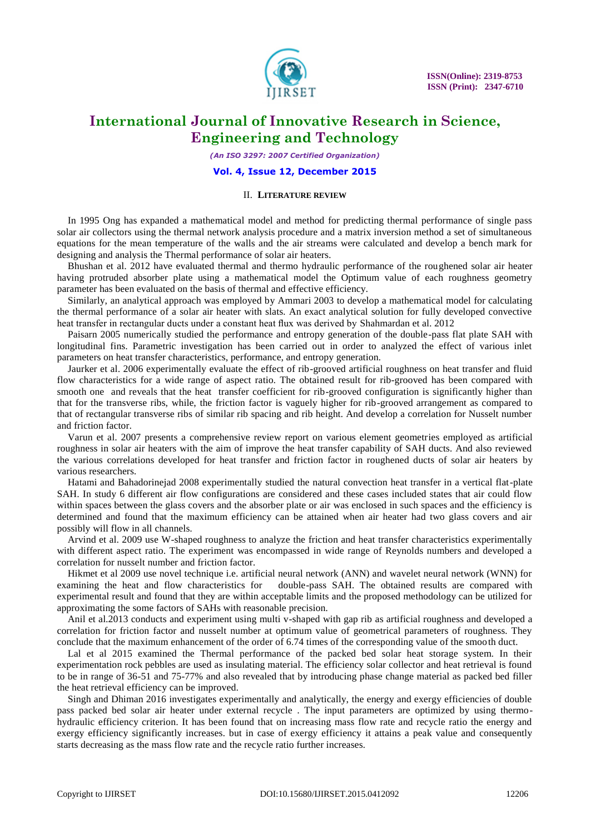

*(An ISO 3297: 2007 Certified Organization)*

#### **Vol. 4, Issue 12, December 2015**

#### II. **LITERATURE REVIEW**

In 1995 Ong has expanded a mathematical model and method for predicting thermal performance of single pass solar air collectors using the thermal network analysis procedure and a matrix inversion method a set of simultaneous equations for the mean temperature of the walls and the air streams were calculated and develop a bench mark for designing and analysis the Thermal performance of solar air heaters.

Bhushan et al. 2012 have evaluated thermal and thermo hydraulic performance of the roughened solar air heater having protruded absorber plate using a mathematical model the Optimum value of each roughness geometry parameter has been evaluated on the basis of thermal and effective efficiency.

Similarly, an analytical approach was employed by Ammari 2003 to develop a mathematical model for calculating the thermal performance of a solar air heater with slats. An exact analytical solution for fully developed convective heat transfer in rectangular ducts under a constant heat flux was derived by Shahmardan et al. 2012

Paisarn 2005 numerically studied the performance and entropy generation of the double-pass flat plate SAH with longitudinal fins. Parametric investigation has been carried out in order to analyzed the effect of various inlet parameters on heat transfer characteristics, performance, and entropy generation.

Jaurker et al. 2006 experimentally evaluate the effect of rib-grooved artificial roughness on heat transfer and fluid flow characteristics for a wide range of aspect ratio. The obtained result for rib-grooved has been compared with smooth one and reveals that the heat transfer coefficient for rib-grooved configuration is significantly higher than that for the transverse ribs, while, the friction factor is vaguely higher for rib-grooved arrangement as compared to that of rectangular transverse ribs of similar rib spacing and rib height. And develop a correlation for Nusselt number and friction factor.

Varun et al. 2007 presents a comprehensive review report on various element geometries employed as artificial roughness in solar air heaters with the aim of improve the heat transfer capability of SAH ducts. And also reviewed the various correlations developed for heat transfer and friction factor in roughened ducts of solar air heaters by various researchers.

Hatami and Bahadorinejad 2008 experimentally studied the natural convection heat transfer in a vertical flat-plate SAH. In study 6 different air flow configurations are considered and these cases included states that air could flow within spaces between the glass covers and the absorber plate or air was enclosed in such spaces and the efficiency is determined and found that the maximum efficiency can be attained when air heater had two glass covers and air possibly will flow in all channels.

Arvind et al. 2009 use W-shaped roughness to analyze the friction and heat transfer characteristics experimentally with different aspect ratio. The experiment was encompassed in wide range of Reynolds numbers and developed a correlation for nusselt number and friction factor.

Hikmet et al 2009 use novel technique i.e. artificial neural network (ANN) and wavelet neural network (WNN) for examining the heat and flow characteristics for double-pass SAH. The obtained results are compared with experimental result and found that they are within acceptable limits and the proposed methodology can be utilized for approximating the some factors of SAHs with reasonable precision.

Anil et al.2013 conducts and experiment using multi v-shaped with gap rib as artificial roughness and developed a correlation for friction factor and nusselt number at optimum value of geometrical parameters of roughness. They conclude that the maximum enhancement of the order of 6.74 times of the corresponding value of the smooth duct.

Lal et al 2015 examined the Thermal performance of the packed bed solar heat storage system. In their experimentation rock pebbles are used as insulating material. The efficiency solar collector and heat retrieval is found to be in range of 36-51 and 75-77% and also revealed that by introducing phase change material as packed bed filler the heat retrieval efficiency can be improved.

Singh and Dhiman 2016 investigates experimentally and analytically, the energy and exergy efficiencies of double pass packed bed solar air heater under external recycle . The input parameters are optimized by using thermohydraulic efficiency criterion. It has been found that on increasing mass flow rate and recycle ratio the energy and exergy efficiency significantly increases. but in case of exergy efficiency it attains a peak value and consequently starts decreasing as the mass flow rate and the recycle ratio further increases.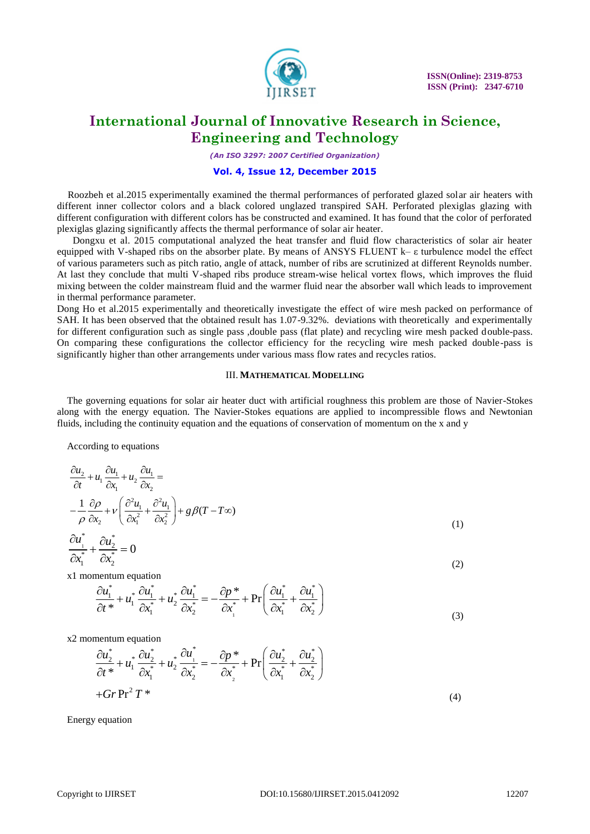

*(An ISO 3297: 2007 Certified Organization)*

#### **Vol. 4, Issue 12, December 2015**

Roozbeh et al.2015 experimentally examined the thermal performances of perforated glazed solar air heaters with different inner collector colors and a black colored unglazed transpired SAH. Perforated plexiglas glazing with different configuration with different colors has be constructed and examined. It has found that the color of perforated plexiglas glazing significantly affects the thermal performance of solar air heater.

 Dongxu et al. 2015 computational analyzed the heat transfer and fluid flow characteristics of solar air heater equipped with V-shaped ribs on the absorber plate. By means of ANSYS FLUENT k– ε turbulence model the effect of various parameters such as pitch ratio, angle of attack, number of ribs are scrutinized at different Reynolds number. At last they conclude that multi V-shaped ribs produce stream-wise helical vortex flows, which improves the fluid mixing between the colder mainstream fluid and the warmer fluid near the absorber wall which leads to improvement in thermal performance parameter.

Dong Ho et al.2015 experimentally and theoretically investigate the effect of wire mesh packed on performance of SAH. It has been observed that the obtained result has 1.07-9.32%. deviations with theoretically and experimentally for different configuration such as single pass ,double pass (flat plate) and recycling wire mesh packed double-pass. On comparing these configurations the collector efficiency for the recycling wire mesh packed double-pass is significantly higher than other arrangements under various mass flow rates and recycles ratios.

#### III. **MATHEMATICAL MODELLING**

The governing equations for solar air heater duct with artificial roughness this problem are those of Navier-Stokes along with the energy equation. The Navier-Stokes equations are applied to incompressible flows and Newtonian fluids, including the continuity equation and the equations of conservation of momentum on the x and y

According to equations

$$
\frac{\partial u_2}{\partial t} + u_1 \frac{\partial u_1}{\partial x_1} + u_2 \frac{\partial u_1}{\partial x_2} =
$$
\n
$$
-\frac{1}{\rho} \frac{\partial \rho}{\partial x_2} + v \left( \frac{\partial^2 u_1}{\partial x_1^2} + \frac{\partial^2 u_1}{\partial x_2^2} \right) + g \beta (T - T \infty)
$$
\n(1)

$$
\frac{\partial u_{\perp}^*}{\partial x_1^*} + \frac{\partial u_2^*}{\partial x_2^*} = 0
$$
\n(2)

x1 momentum equation  
\n
$$
\frac{\partial u_1^*}{\partial t^*} + u_1^* \frac{\partial u_1^*}{\partial x_1^*} + u_2^* \frac{\partial u_1^*}{\partial x_2^*} = -\frac{\partial p^*}{\partial x_1^*} + \Pr\left(\frac{\partial u_1^*}{\partial x_1^*} + \frac{\partial u_1^*}{\partial x_2^*}\right)
$$
\n(2)

x2 momentum equation  
\n
$$
\frac{\partial u_2^*}{\partial t^*} + u_1^* \frac{\partial u_2^*}{\partial x_1^*} + u_2^* \frac{\partial u_1^*}{\partial x_2^*} = -\frac{\partial p^*}{\partial x_2^*} + \Pr\left(\frac{\partial u_2^*}{\partial x_1^*} + \frac{\partial u_2^*}{\partial x_2^*}\right)
$$
\n
$$
+ Gr \Pr^2 T^*
$$
\n(4)

Energy equation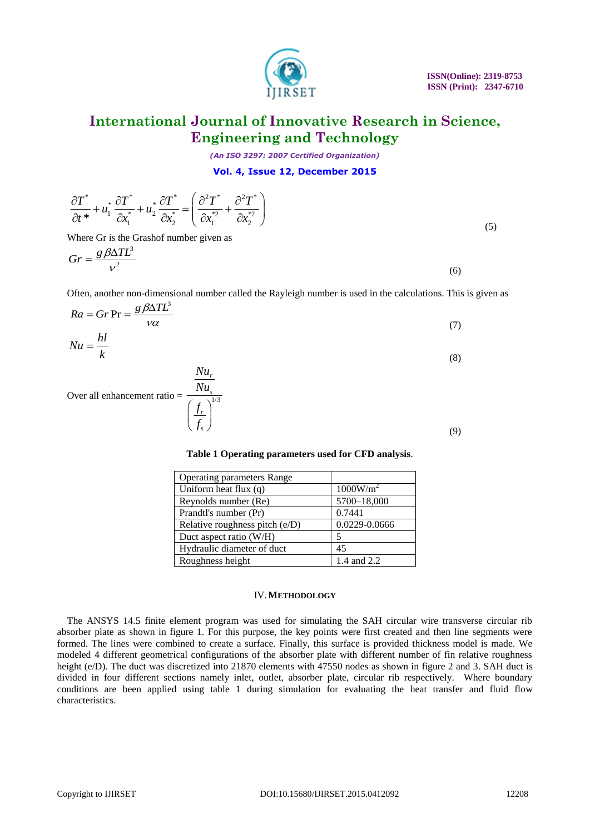*(An ISO 3297: 2007 Certified Organization)*

#### **Vol. 4, Issue 12, December 2015**

| $\frac{\partial T^*}{\partial t^*} + u_1^* \frac{\partial T^*}{\partial x_1^*} + u_2^* \frac{\partial T^*}{\partial x_2^*} = \left( \frac{\partial^2 T^*}{\partial x_1^{*2}} + \frac{\partial^2 T^*}{\partial x_2^{*2}} \right)$ |  |  |
|----------------------------------------------------------------------------------------------------------------------------------------------------------------------------------------------------------------------------------|--|--|

Where Gr is the Grashof number given as

$$
Gr = \frac{g\beta\Delta T L^3}{v^2} \tag{6}
$$

Often, another non-dimensional number called the Rayleigh number is used in the calculations. This is given as

$$
Ra = Gr \Pr = \frac{g \beta \Delta T L^3}{\nu \alpha}
$$
\n(7)  
\n
$$
Nu = \frac{hl}{k}
$$
\n(8)

*r s*

*r s*

*Nu*

Over all enhancement ratio =  $\frac{1/3}{(1/3)^{1/3}}$ *Nu f*  $\left(\frac{f_r}{f_s}\right)^{1}$ 

## **Table 1 Operating parameters used for CFD analysis**.

| <b>Operating parameters Range</b> |                      |  |
|-----------------------------------|----------------------|--|
| Uniform heat flux $(q)$           | 1000W/m <sup>2</sup> |  |
| Reynolds number (Re)              | 5700-18,000          |  |
| Prandtl's number (Pr)             | 0.7441               |  |
| Relative roughness pitch (e/D)    | 0.0229-0.0666        |  |
| Duct aspect ratio (W/H)           |                      |  |
| Hydraulic diameter of duct        | 45                   |  |
| Roughness height                  | 1.4 and 2.2          |  |

#### IV.**METHODOLOGY**

The ANSYS 14.5 finite element program was used for simulating the SAH circular wire transverse circular rib absorber plate as shown in figure 1. For this purpose, the key points were first created and then line segments were formed. The lines were combined to create a surface. Finally, this surface is provided thickness model is made. We modeled 4 different geometrical configurations of the absorber plate with different number of fin relative roughness height (e/D). The duct was discretized into 21870 elements with 47550 nodes as shown in figure 2 and 3. SAH duct is divided in four different sections namely inlet, outlet, absorber plate, circular rib respectively. Where boundary conditions are been applied using table 1 during simulation for evaluating the heat transfer and fluid flow characteristics.

(5)

(9)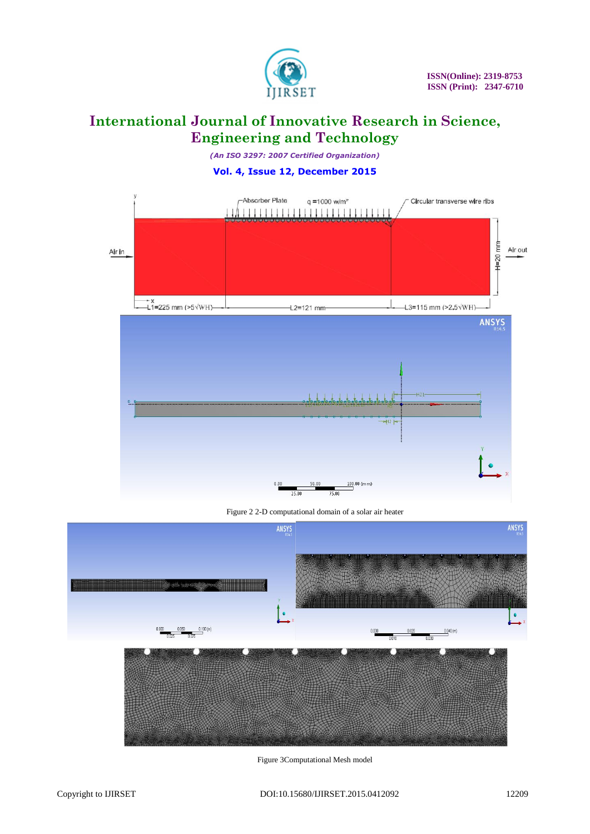

*(An ISO 3297: 2007 Certified Organization)*

### **Vol. 4, Issue 12, December 2015**



Figure 2 2-D computational domain of a solar air heater



Figure 3Computational Mesh model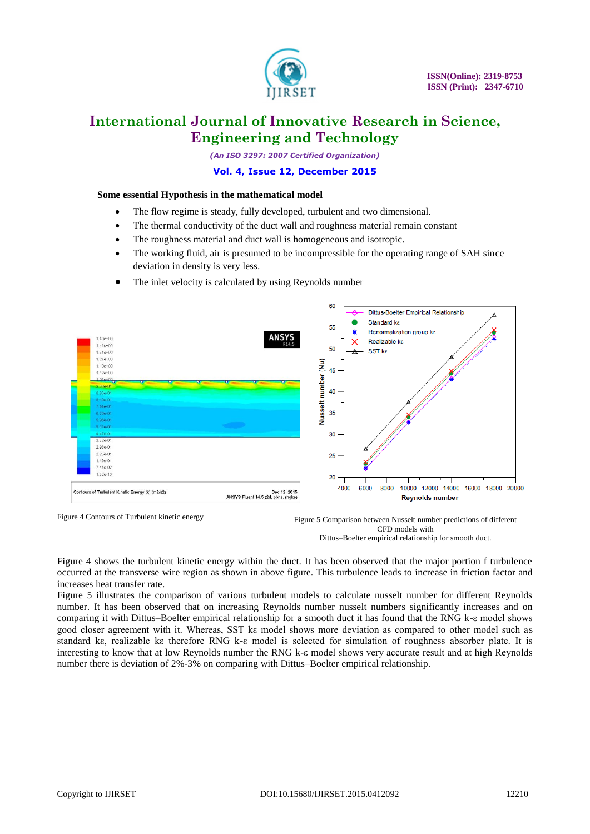

*(An ISO 3297: 2007 Certified Organization)*

#### **Vol. 4, Issue 12, December 2015**

#### **Some essential Hypothesis in the mathematical model**

- The flow regime is steady, fully developed, turbulent and two dimensional.
- The thermal conductivity of the duct wall and roughness material remain constant
- The roughness material and duct wall is homogeneous and isotropic.
- The working fluid, air is presumed to be incompressible for the operating range of SAH since deviation in density is very less.
- The inlet velocity is calculated by using Reynolds number



Figure 4 Contours of Turbulent kinetic energy

Figure 4 shows the turbulent kinetic energy within the duct. It has been observed that the major portion f turbulence occurred at the transverse wire region as shown in above figure. This turbulence leads to increase in friction factor and increases heat transfer rate.

Figure 5 illustrates the comparison of various turbulent models to calculate nusselt number for different Reynolds number. It has been observed that on increasing Reynolds number nusselt numbers significantly increases and on comparing it with Dittus–Boelter empirical relationship for a smooth duct it has found that the RNG k-ε model shows good closer agreement with it. Whereas, SST kε model shows more deviation as compared to other model such as standard kε, realizable kε therefore RNG k-ε model is selected for simulation of roughness absorber plate. It is interesting to know that at low Reynolds number the RNG k-ε model shows very accurate result and at high Reynolds number there is deviation of 2%-3% on comparing with Dittus–Boelter empirical relationship.

Figure 5 Comparison between Nusselt number predictions of different CFD models with Dittus–Boelter empirical relationship for smooth duct.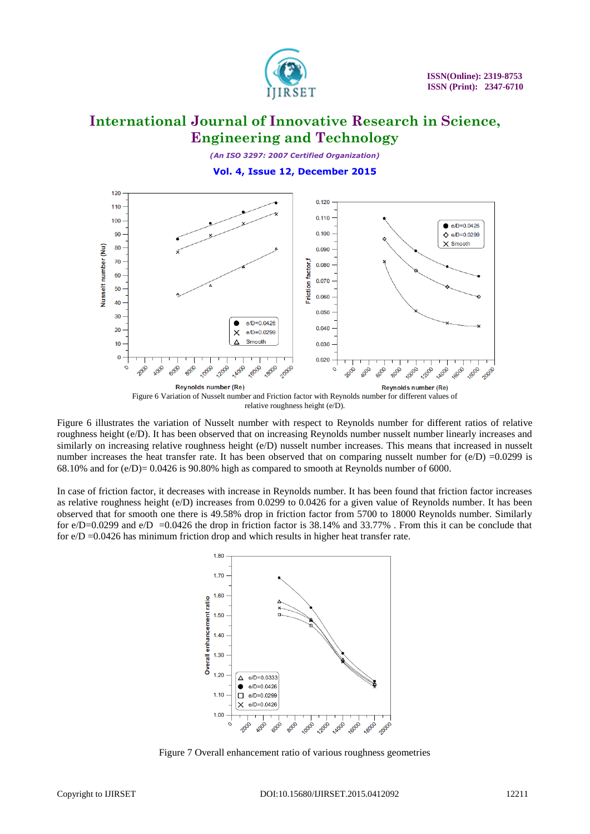

*(An ISO 3297: 2007 Certified Organization)*

**Vol. 4, Issue 12, December 2015**



Figure 6 illustrates the variation of Nusselt number with respect to Reynolds number for different ratios of relative roughness height (e/D). It has been observed that on increasing Reynolds number nusselt number linearly increases and similarly on increasing relative roughness height (e/D) nusselt number increases. This means that increased in nusselt number increases the heat transfer rate. It has been observed that on comparing nusselt number for  $(e/D) = 0.0299$  is 68.10% and for  $(e/D) = 0.0426$  is 90.80% high as compared to smooth at Reynolds number of 6000.

In case of friction factor, it decreases with increase in Reynolds number. It has been found that friction factor increases as relative roughness height (e/D) increases from 0.0299 to 0.0426 for a given value of Reynolds number. It has been observed that for smooth one there is 49.58% drop in friction factor from 5700 to 18000 Reynolds number. Similarly for  $e/D=0.0299$  and  $e/D =0.0426$  the drop in friction factor is 38.14% and 33.77%. From this it can be conclude that for  $e/D = 0.0426$  has minimum friction drop and which results in higher heat transfer rate.



Figure 7 Overall enhancement ratio of various roughness geometries